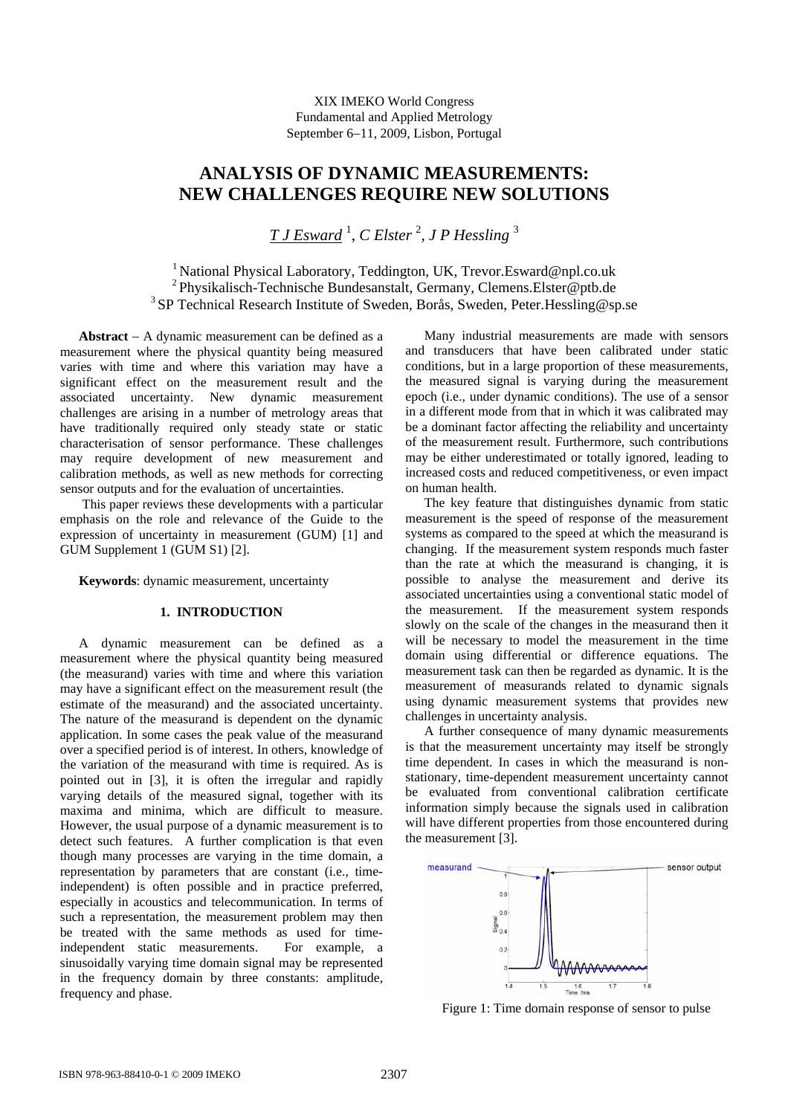XIX IMEKO World Congress Fundamental and Applied Metrology September 6−11, 2009, Lisbon, Portugal

# **ANALYSIS OF DYNAMIC MEASUREMENTS: NEW CHALLENGES REQUIRE NEW SOLUTIONS**

*T J Esward* <sup>1</sup> , *C Elster* <sup>2</sup> *, J P Hessling* <sup>3</sup>

<sup>1</sup> National Physical Laboratory, Teddington, UK, Trevor.Esward@npl.co.uk 2 Physikalisch-Technische Bundesanstalt, Germany, Clemens.Elster@ptb.de <sup>3</sup> SP Technical Research Institute of Sweden, Borås, Sweden, Peter. Hessling@sp.se

**Abstract** − A dynamic measurement can be defined as a measurement where the physical quantity being measured varies with time and where this variation may have a significant effect on the measurement result and the associated uncertainty. New dynamic measurement challenges are arising in a number of metrology areas that have traditionally required only steady state or static characterisation of sensor performance. These challenges may require development of new measurement and calibration methods, as well as new methods for correcting sensor outputs and for the evaluation of uncertainties.

This paper reviews these developments with a particular emphasis on the role and relevance of the Guide to the expression of uncertainty in measurement (GUM) [1] and GUM Supplement 1 (GUM S1) [2].

**Keywords**: dynamic measurement, uncertainty

### **1. INTRODUCTION**

A dynamic measurement can be defined as a measurement where the physical quantity being measured (the measurand) varies with time and where this variation may have a significant effect on the measurement result (the estimate of the measurand) and the associated uncertainty. The nature of the measurand is dependent on the dynamic application. In some cases the peak value of the measurand over a specified period is of interest. In others, knowledge of the variation of the measurand with time is required. As is pointed out in [3], it is often the irregular and rapidly varying details of the measured signal, together with its maxima and minima, which are difficult to measure. However, the usual purpose of a dynamic measurement is to detect such features. A further complication is that even though many processes are varying in the time domain, a representation by parameters that are constant (i.e., timeindependent) is often possible and in practice preferred, especially in acoustics and telecommunication. In terms of such a representation, the measurement problem may then be treated with the same methods as used for timeindependent static measurements. For example, a sinusoidally varying time domain signal may be represented in the frequency domain by three constants: amplitude, frequency and phase.

Many industrial measurements are made with sensors and transducers that have been calibrated under static conditions, but in a large proportion of these measurements, the measured signal is varying during the measurement epoch (i.e., under dynamic conditions). The use of a sensor in a different mode from that in which it was calibrated may be a dominant factor affecting the reliability and uncertainty of the measurement result. Furthermore, such contributions may be either underestimated or totally ignored, leading to increased costs and reduced competitiveness, or even impact on human health.

The key feature that distinguishes dynamic from static measurement is the speed of response of the measurement systems as compared to the speed at which the measurand is changing. If the measurement system responds much faster than the rate at which the measurand is changing, it is possible to analyse the measurement and derive its associated uncertainties using a conventional static model of the measurement. If the measurement system responds slowly on the scale of the changes in the measurand then it will be necessary to model the measurement in the time domain using differential or difference equations. The measurement task can then be regarded as dynamic. It is the measurement of measurands related to dynamic signals using dynamic measurement systems that provides new challenges in uncertainty analysis.

A further consequence of many dynamic measurements is that the measurement uncertainty may itself be strongly time dependent. In cases in which the measurand is nonstationary, time-dependent measurement uncertainty cannot be evaluated from conventional calibration certificate information simply because the signals used in calibration will have different properties from those encountered during the measurement [3].



Figure 1: Time domain response of sensor to pulse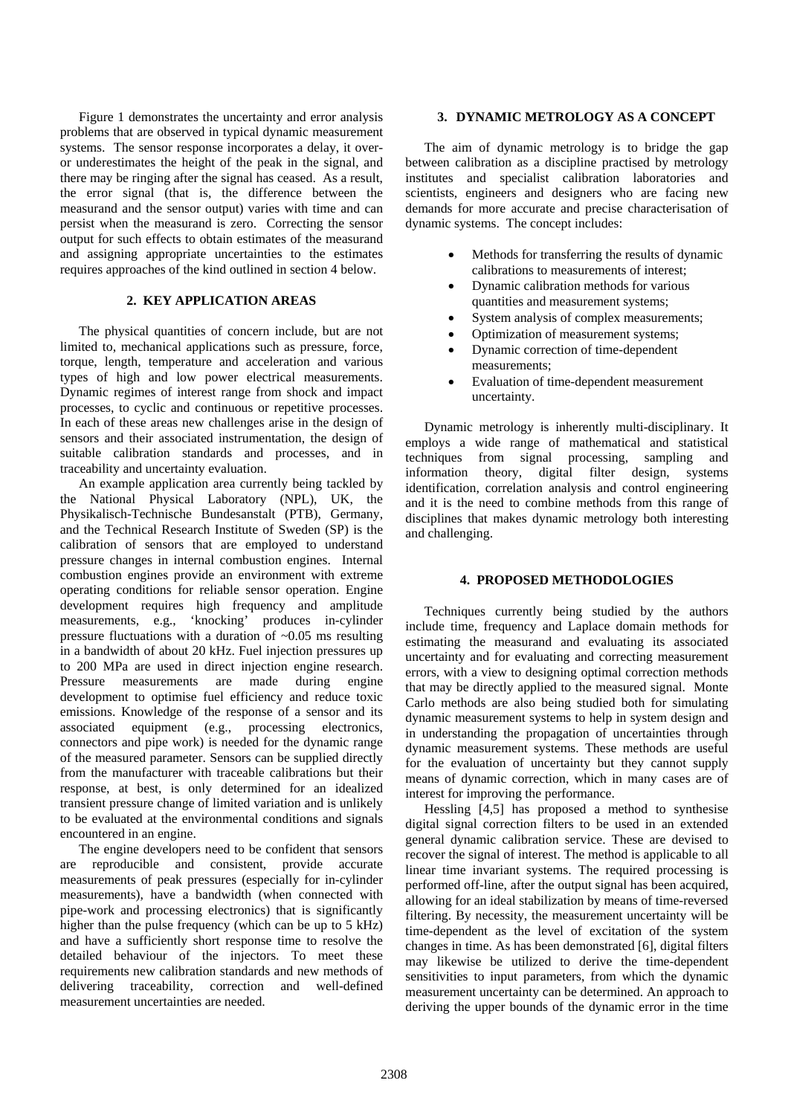Figure 1 demonstrates the uncertainty and error analysis problems that are observed in typical dynamic measurement systems. The sensor response incorporates a delay, it overor underestimates the height of the peak in the signal, and there may be ringing after the signal has ceased. As a result, the error signal (that is, the difference between the measurand and the sensor output) varies with time and can persist when the measurand is zero. Correcting the sensor output for such effects to obtain estimates of the measurand and assigning appropriate uncertainties to the estimates requires approaches of the kind outlined in section 4 below.

## **2. KEY APPLICATION AREAS**

The physical quantities of concern include, but are not limited to, mechanical applications such as pressure, force, torque, length, temperature and acceleration and various types of high and low power electrical measurements. Dynamic regimes of interest range from shock and impact processes, to cyclic and continuous or repetitive processes. In each of these areas new challenges arise in the design of sensors and their associated instrumentation, the design of suitable calibration standards and processes, and in traceability and uncertainty evaluation.

An example application area currently being tackled by the National Physical Laboratory (NPL), UK, the Physikalisch-Technische Bundesanstalt (PTB), Germany, and the Technical Research Institute of Sweden (SP) is the calibration of sensors that are employed to understand pressure changes in internal combustion engines. Internal combustion engines provide an environment with extreme operating conditions for reliable sensor operation. Engine development requires high frequency and amplitude measurements, e.g., 'knocking' produces in-cylinder pressure fluctuations with a duration of  $\sim 0.05$  ms resulting in a bandwidth of about 20 kHz. Fuel injection pressures up to 200 MPa are used in direct injection engine research. Pressure measurements are made during engine development to optimise fuel efficiency and reduce toxic emissions. Knowledge of the response of a sensor and its associated equipment (e.g., processing electronics, connectors and pipe work) is needed for the dynamic range of the measured parameter. Sensors can be supplied directly from the manufacturer with traceable calibrations but their response, at best, is only determined for an idealized transient pressure change of limited variation and is unlikely to be evaluated at the environmental conditions and signals encountered in an engine.

The engine developers need to be confident that sensors are reproducible and consistent, provide accurate measurements of peak pressures (especially for in-cylinder measurements), have a bandwidth (when connected with pipe-work and processing electronics) that is significantly higher than the pulse frequency (which can be up to 5 kHz) and have a sufficiently short response time to resolve the detailed behaviour of the injectors. To meet these requirements new calibration standards and new methods of delivering traceability, correction and well-defined measurement uncertainties are needed.

### **3. DYNAMIC METROLOGY AS A CONCEPT**

The aim of dynamic metrology is to bridge the gap between calibration as a discipline practised by metrology institutes and specialist calibration laboratories and scientists, engineers and designers who are facing new demands for more accurate and precise characterisation of dynamic systems. The concept includes:

- Methods for transferring the results of dynamic calibrations to measurements of interest;
- Dynamic calibration methods for various quantities and measurement systems;
- System analysis of complex measurements;
- Optimization of measurement systems;
- Dynamic correction of time-dependent measurements;
- Evaluation of time-dependent measurement uncertainty.

Dynamic metrology is inherently multi-disciplinary. It employs a wide range of mathematical and statistical techniques from signal processing, sampling and information theory, digital filter design, systems identification, correlation analysis and control engineering and it is the need to combine methods from this range of disciplines that makes dynamic metrology both interesting and challenging.

### **4. PROPOSED METHODOLOGIES**

Techniques currently being studied by the authors include time, frequency and Laplace domain methods for estimating the measurand and evaluating its associated uncertainty and for evaluating and correcting measurement errors, with a view to designing optimal correction methods that may be directly applied to the measured signal. Monte Carlo methods are also being studied both for simulating dynamic measurement systems to help in system design and in understanding the propagation of uncertainties through dynamic measurement systems. These methods are useful for the evaluation of uncertainty but they cannot supply means of dynamic correction, which in many cases are of interest for improving the performance.

Hessling [4,5] has proposed a method to synthesise digital signal correction filters to be used in an extended general dynamic calibration service. These are devised to recover the signal of interest. The method is applicable to all linear time invariant systems. The required processing is performed off-line, after the output signal has been acquired, allowing for an ideal stabilization by means of time-reversed filtering. By necessity, the measurement uncertainty will be time-dependent as the level of excitation of the system changes in time. As has been demonstrated [6], digital filters may likewise be utilized to derive the time-dependent sensitivities to input parameters, from which the dynamic measurement uncertainty can be determined. An approach to deriving the upper bounds of the dynamic error in the time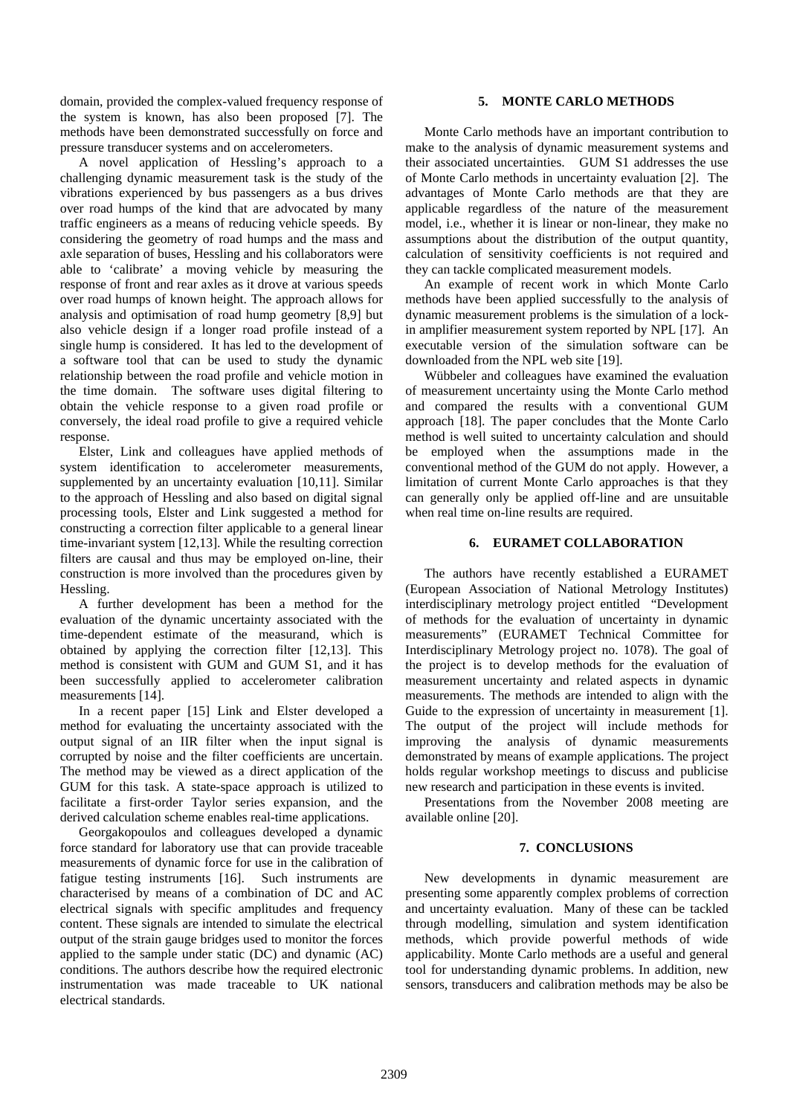domain, provided the complex-valued frequency response of the system is known, has also been proposed [7]. The methods have been demonstrated successfully on force and pressure transducer systems and on accelerometers.

A novel application of Hessling's approach to a challenging dynamic measurement task is the study of the vibrations experienced by bus passengers as a bus drives over road humps of the kind that are advocated by many traffic engineers as a means of reducing vehicle speeds. By considering the geometry of road humps and the mass and axle separation of buses, Hessling and his collaborators were able to 'calibrate' a moving vehicle by measuring the response of front and rear axles as it drove at various speeds over road humps of known height. The approach allows for analysis and optimisation of road hump geometry [8,9] but also vehicle design if a longer road profile instead of a single hump is considered. It has led to the development of a software tool that can be used to study the dynamic relationship between the road profile and vehicle motion in the time domain. The software uses digital filtering to obtain the vehicle response to a given road profile or conversely, the ideal road profile to give a required vehicle response.

Elster, Link and colleagues have applied methods of system identification to accelerometer measurements, supplemented by an uncertainty evaluation [10,11]. Similar to the approach of Hessling and also based on digital signal processing tools, Elster and Link suggested a method for constructing a correction filter applicable to a general linear time-invariant system [12,13]. While the resulting correction filters are causal and thus may be employed on-line, their construction is more involved than the procedures given by Hessling.

A further development has been a method for the evaluation of the dynamic uncertainty associated with the time-dependent estimate of the measurand, which is obtained by applying the correction filter [12,13]. This method is consistent with GUM and GUM S1, and it has been successfully applied to accelerometer calibration measurements [14].

In a recent paper [15] Link and Elster developed a method for evaluating the uncertainty associated with the output signal of an IIR filter when the input signal is corrupted by noise and the filter coefficients are uncertain. The method may be viewed as a direct application of the GUM for this task. A state-space approach is utilized to facilitate a first-order Taylor series expansion, and the derived calculation scheme enables real-time applications.

Georgakopoulos and colleagues developed a dynamic force standard for laboratory use that can provide traceable measurements of dynamic force for use in the calibration of fatigue testing instruments [16]. Such instruments are characterised by means of a combination of DC and AC electrical signals with specific amplitudes and frequency content. These signals are intended to simulate the electrical output of the strain gauge bridges used to monitor the forces applied to the sample under static (DC) and dynamic (AC) conditions. The authors describe how the required electronic instrumentation was made traceable to UK national electrical standards.

# **5. MONTE CARLO METHODS**

Monte Carlo methods have an important contribution to make to the analysis of dynamic measurement systems and their associated uncertainties. GUM S1 addresses the use of Monte Carlo methods in uncertainty evaluation [2]. The advantages of Monte Carlo methods are that they are applicable regardless of the nature of the measurement model, i.e., whether it is linear or non-linear, they make no assumptions about the distribution of the output quantity, calculation of sensitivity coefficients is not required and they can tackle complicated measurement models.

An example of recent work in which Monte Carlo methods have been applied successfully to the analysis of dynamic measurement problems is the simulation of a lockin amplifier measurement system reported by NPL [17]. An executable version of the simulation software can be downloaded from the NPL web site [19].

Wübbeler and colleagues have examined the evaluation of measurement uncertainty using the Monte Carlo method and compared the results with a conventional GUM approach [18]. The paper concludes that the Monte Carlo method is well suited to uncertainty calculation and should be employed when the assumptions made in the conventional method of the GUM do not apply. However, a limitation of current Monte Carlo approaches is that they can generally only be applied off-line and are unsuitable when real time on-line results are required.

### **6. EURAMET COLLABORATION**

The authors have recently established a EURAMET (European Association of National Metrology Institutes) interdisciplinary metrology project entitled "Development of methods for the evaluation of uncertainty in dynamic measurements" (EURAMET Technical Committee for Interdisciplinary Metrology project no. 1078). The goal of the project is to develop methods for the evaluation of measurement uncertainty and related aspects in dynamic measurements. The methods are intended to align with the Guide to the expression of uncertainty in measurement [1]. The output of the project will include methods for improving the analysis of dynamic measurements demonstrated by means of example applications. The project holds regular workshop meetings to discuss and publicise new research and participation in these events is invited.

Presentations from the November 2008 meeting are available online [20].

### **7. CONCLUSIONS**

New developments in dynamic measurement are presenting some apparently complex problems of correction and uncertainty evaluation. Many of these can be tackled through modelling, simulation and system identification methods, which provide powerful methods of wide applicability. Monte Carlo methods are a useful and general tool for understanding dynamic problems. In addition, new sensors, transducers and calibration methods may be also be